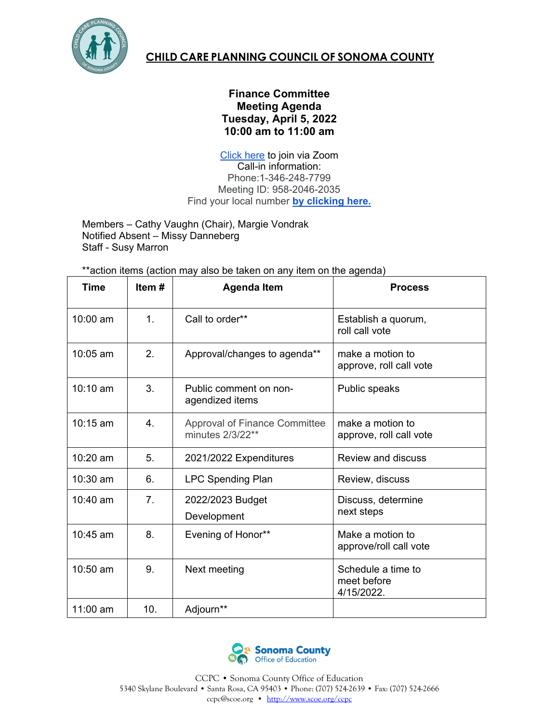

## **CHILD CARE PLANNING COUNCIL OF SONOMA COUNTY**

## **Finance Committee Meeting Agenda Tuesday, April 5, 2022 10:00 am to 11:00 am**

[Click here](https://zoom.us/j/95820462035) to join via Zoom Call-in information: Phone:1-346-248-7799 Meeting ID: 958-2046-2035 Find your local number **[by clicking here.](https://zoom.us/u/acEyW3C6K3)** 

Members – Cathy Vaughn (Chair), Margie Vondrak Notified Absent – Missy Danneberg Staff - Susy Marron

\*\*action items (action may also be taken on any item on the agenda)

| <b>Time</b>        | Item#         | <b>Agenda Item</b>                                       | <b>Process</b>                                  |
|--------------------|---------------|----------------------------------------------------------|-------------------------------------------------|
| 10:00 am           | $\mathbf 1$ . | Call to order**                                          | Establish a quorum,<br>roll call vote           |
| 10:05 am           | 2.            | Approval/changes to agenda**                             | make a motion to<br>approve, roll call vote     |
| $10:10 \text{ am}$ | 3.            | Public comment on non-<br>agendized items                | Public speaks                                   |
| $10:15$ am         | 4.            | <b>Approval of Finance Committee</b><br>minutes 2/3/22** | make a motion to<br>approve, roll call vote     |
| 10:20 am           | 5.            | 2021/2022 Expenditures                                   | <b>Review and discuss</b>                       |
| $10:30$ am         | 6.            | <b>LPC Spending Plan</b>                                 | Review, discuss                                 |
| 10:40 am           | 7.            | 2022/2023 Budget<br>Development                          | Discuss, determine<br>next steps                |
| 10:45 am           | 8.            | Evening of Honor**                                       | Make a motion to<br>approve/roll call vote      |
| 10:50 am           | 9.            | Next meeting                                             | Schedule a time to<br>meet before<br>4/15/2022. |
| 11:00 am           | 10.           | Adjourn**                                                |                                                 |